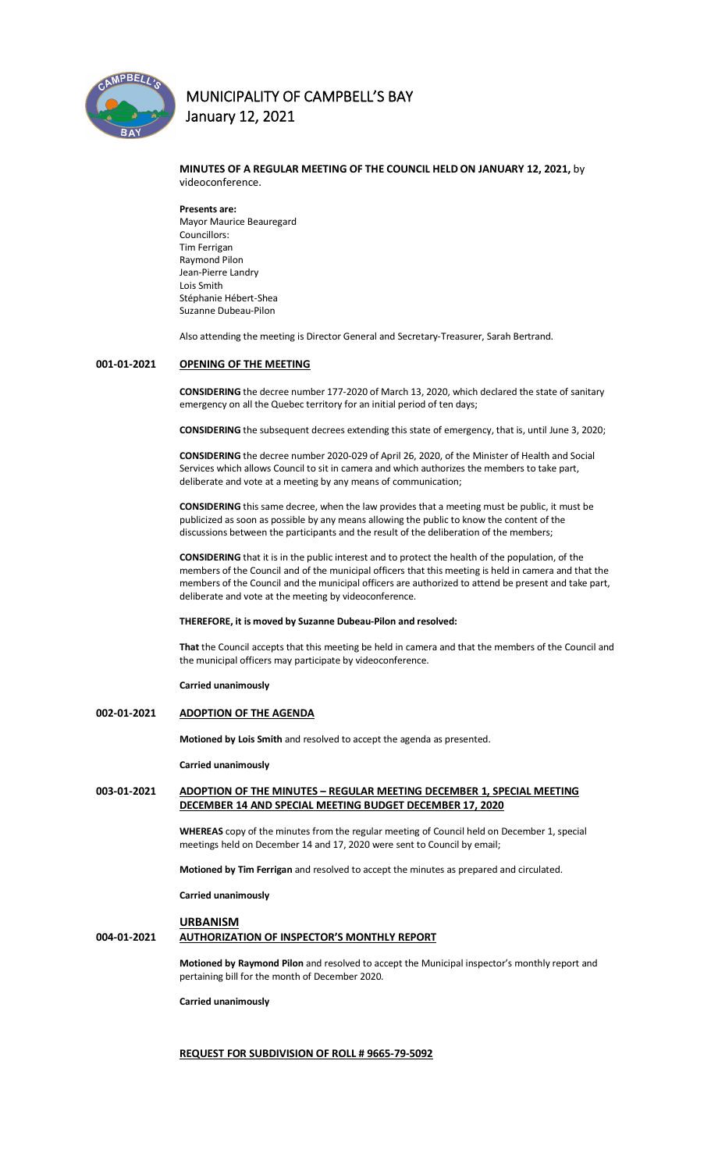

## **MINUTES OF A REGULAR MEETING OF THE COUNCIL HELD ON JANUARY 12, 2021,** by videoconference.

**Presents are:**  Mayor Maurice Beauregard Councillors: Tim Ferrigan Raymond Pilon Jean-Pierre Landry Lois Smith Stéphanie Hébert-Shea Suzanne Dubeau-Pilon

Also attending the meeting is Director General and Secretary-Treasurer, Sarah Bertrand.

## **001-01-2021 OPENING OF THE MEETING**

**CONSIDERING** the decree number 177-2020 of March 13, 2020, which declared the state of sanitary emergency on all the Quebec territory for an initial period of ten days;

**CONSIDERING** the subsequent decrees extending this state of emergency, that is, until June 3, 2020;

**CONSIDERING** the decree number 2020-029 of April 26, 2020, of the Minister of Health and Social Services which allows Council to sit in camera and which authorizes the members to take part, deliberate and vote at a meeting by any means of communication;

**CONSIDERING** this same decree, when the law provides that a meeting must be public, it must be publicized as soon as possible by any means allowing the public to know the content of the discussions between the participants and the result of the deliberation of the members;

**CONSIDERING** that it is in the public interest and to protect the health of the population, of the members of the Council and of the municipal officers that this meeting is held in camera and that the members of the Council and the municipal officers are authorized to attend be present and take part, deliberate and vote at the meeting by videoconference.

#### **THEREFORE, it is moved by Suzanne Dubeau-Pilon and resolved:**

**That** the Council accepts that this meeting be held in camera and that the members of the Council and the municipal officers may participate by videoconference.

**Carried unanimously**

#### **002-01-2021 ADOPTION OF THE AGENDA**

**Motioned by Lois Smith** and resolved to accept the agenda as presented.

**Carried unanimously**

## **003-01-2021 ADOPTION OF THE MINUTES – REGULAR MEETING DECEMBER 1, SPECIAL MEETING DECEMBER 14 AND SPECIAL MEETING BUDGET DECEMBER 17, 2020**

**WHEREAS** copy of the minutes from the regular meeting of Council held on December 1, special meetings held on December 14 and 17, 2020 were sent to Council by email;

**Motioned by Tim Ferrigan** and resolved to accept the minutes as prepared and circulated.

**Carried unanimously**

#### **URBANISM**

## **004-01-2021 AUTHORIZATION OF INSPECTOR'S MONTHLY REPORT**

**Motioned by Raymond Pilon** and resolved to accept the Municipal inspector's monthly report and pertaining bill for the month of December 2020.

**Carried unanimously**

## **REQUEST FOR SUBDIVISION OF ROLL # 9665-79-5092**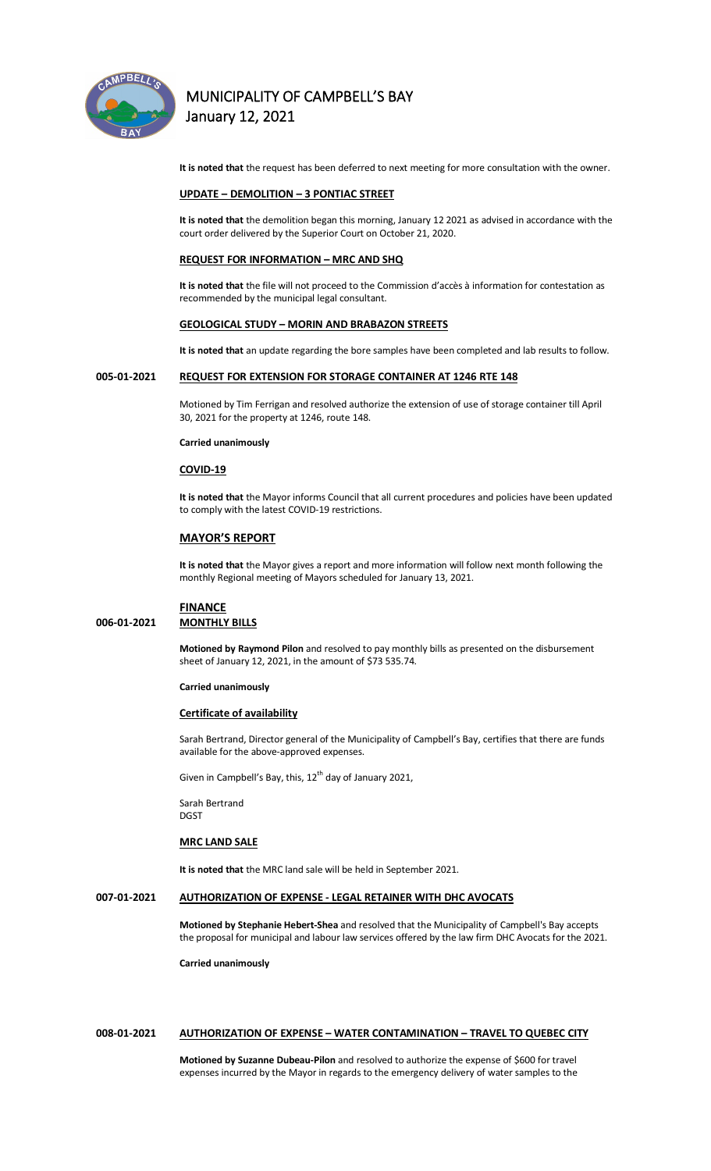

**It is noted that** the request has been deferred to next meeting for more consultation with the owner.

#### **UPDATE – DEMOLITION – 3 PONTIAC STREET**

**It is noted that** the demolition began this morning, January 12 2021 as advised in accordance with the court order delivered by the Superior Court on October 21, 2020.

#### **REQUEST FOR INFORMATION – MRC AND SHQ**

**It is noted that** the file will not proceed to the Commission d'accès à information for contestation as recommended by the municipal legal consultant.

#### **GEOLOGICAL STUDY – MORIN AND BRABAZON STREETS**

**It is noted that** an update regarding the bore samples have been completed and lab results to follow.

## **005-01-2021 REQUEST FOR EXTENSION FOR STORAGE CONTAINER AT 1246 RTE 148**

Motioned by Tim Ferrigan and resolved authorize the extension of use of storage container till April 30, 2021 for the property at 1246, route 148.

#### **Carried unanimously**

### **COVID-19**

**It is noted that** the Mayor informs Council that all current procedures and policies have been updated to comply with the latest COVID-19 restrictions.

### **MAYOR'S REPORT**

**It is noted that** the Mayor gives a report and more information will follow next month following the monthly Regional meeting of Mayors scheduled for January 13, 2021.

# **FINANCE**

**006-01-2021 MONTHLY BILLS**

**Motioned by Raymond Pilon** and resolved to pay monthly bills as presented on the disbursement sheet of January 12, 2021, in the amount of \$73 535.74.

#### **Carried unanimously**

#### **Certificate of availability**

Sarah Bertrand, Director general of the Municipality of Campbell's Bay, certifies that there are funds available for the above-approved expenses.

Given in Campbell's Bay, this, 12<sup>th</sup> day of January 2021,

Sarah Bertrand DGST

### **MRC LAND SALE**

**It is noted that** the MRC land sale will be held in September 2021.

## **007-01-2021 AUTHORIZATION OF EXPENSE - LEGAL RETAINER WITH DHC AVOCATS**

**Motioned by Stephanie Hebert-Shea** and resolved that the Municipality of Campbell's Bay accepts the proposal for municipal and labour law services offered by the law firm DHC Avocats for the 2021.

**Carried unanimously**

#### **008-01-2021 AUTHORIZATION OF EXPENSE – WATER CONTAMINATION – TRAVEL TO QUEBEC CITY**

**Motioned by Suzanne Dubeau-Pilon** and resolved to authorize the expense of \$600 for travel expenses incurred by the Mayor in regards to the emergency delivery of water samples to the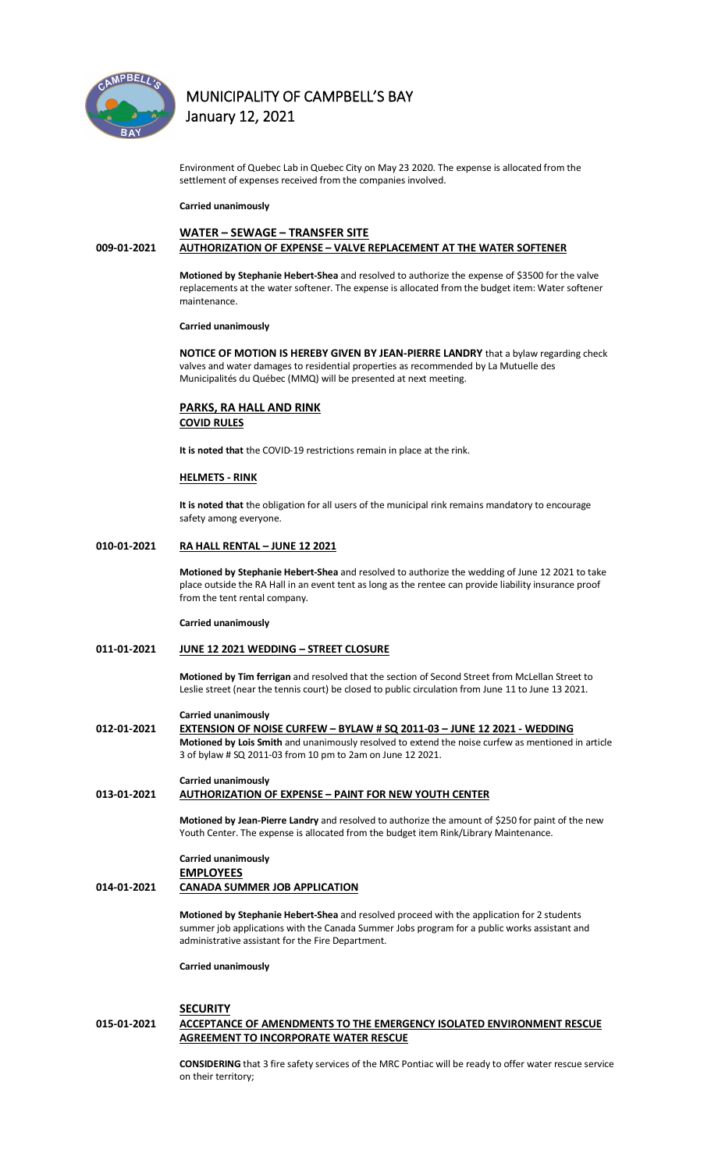

Environment of Quebec Lab in Quebec City on May 23 2020. The expense is allocated from the settlement of expenses received from the companies involved.

#### **Carried unanimously**

## **WATER – SEWAGE – TRANSFER SITE 009-01-2021 AUTHORIZATION OF EXPENSE – VALVE REPLACEMENT AT THE WATER SOFTENER**

**Motioned by Stephanie Hebert-Shea** and resolved to authorize the expense of \$3500 for the valve replacements at the water softener. The expense is allocated from the budget item: Water softener maintenance.

#### **Carried unanimously**

**NOTICE OF MOTION IS HEREBY GIVEN BY JEAN-PIERRE LANDRY** that a bylaw regarding check valves and water damages to residential properties as recommended by La Mutuelle des Municipalités du Québec (MMQ) will be presented at next meeting.

### **PARKS, RA HALL AND RINK COVID RULES**

**It is noted that** the COVID-19 restrictions remain in place at the rink.

#### **HELMETS - RINK**

**It is noted that** the obligation for all users of the municipal rink remains mandatory to encourage safety among everyone.

## **010-01-2021 RA HALL RENTAL – JUNE 12 2021**

**Motioned by Stephanie Hebert-Shea** and resolved to authorize the wedding of June 12 2021 to take place outside the RA Hall in an event tent as long as the rentee can provide liability insurance proof from the tent rental company.

#### **Carried unanimously**

### **011-01-2021 JUNE 12 2021 WEDDING – STREET CLOSURE**

**Motioned by Tim ferrigan** and resolved that the section of Second Street from McLellan Street to Leslie street (near the tennis court) be closed to public circulation from June 11 to June 13 2021.

#### **Carried unanimously**

**012-01-2021 EXTENSION OF NOISE CURFEW – BYLAW # SQ 2011-03 – JUNE 12 2021 - WEDDING Motioned by Lois Smith** and unanimously resolved to extend the noise curfew as mentioned in article 3 of bylaw # SQ 2011-03 from 10 pm to 2am on June 12 2021.

## **Carried unanimously 013-01-2021 AUTHORIZATION OF EXPENSE – PAINT FOR NEW YOUTH CENTER**

**Motioned by Jean-Pierre Landry** and resolved to authorize the amount of \$250 for paint of the new Youth Center. The expense is allocated from the budget item Rink/Library Maintenance.

## **Carried unanimously EMPLOYEES**

**014-01-2021 CANADA SUMMER JOB APPLICATION**

**Motioned by Stephanie Hebert-Shea** and resolved proceed with the application for 2 students summer job applications with the Canada Summer Jobs program for a public works assistant and administrative assistant for the Fire Department.

**Carried unanimously**

#### **SECURITY**

## **015-01-2021 ACCEPTANCE OF AMENDMENTS TO THE EMERGENCY ISOLATED ENVIRONMENT RESCUE AGREEMENT TO INCORPORATE WATER RESCUE**

**CONSIDERING** that 3 fire safety services of the MRC Pontiac will be ready to offer water rescue service on their territory;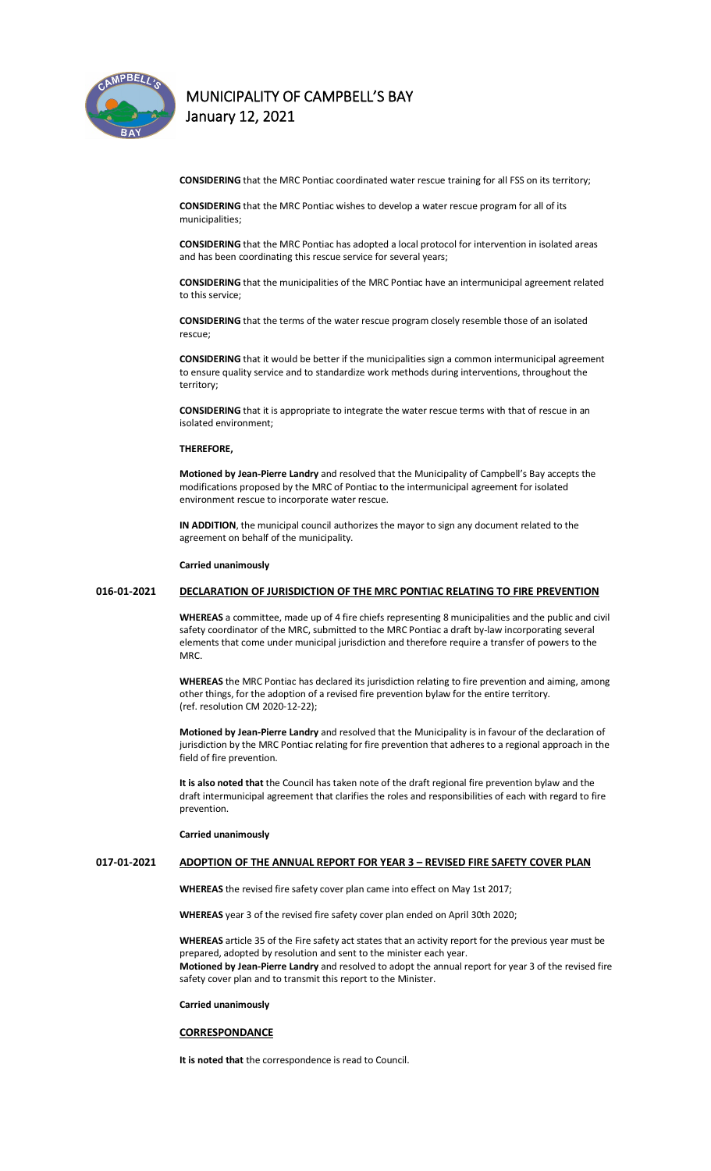

**CONSIDERING** that the MRC Pontiac coordinated water rescue training for all FSS on its territory;

**CONSIDERING** that the MRC Pontiac wishes to develop a water rescue program for all of its municipalities;

**CONSIDERING** that the MRC Pontiac has adopted a local protocol for intervention in isolated areas and has been coordinating this rescue service for several years;

**CONSIDERING** that the municipalities of the MRC Pontiac have an intermunicipal agreement related to this service;

**CONSIDERING** that the terms of the water rescue program closely resemble those of an isolated rescue;

**CONSIDERING** that it would be better if the municipalities sign a common intermunicipal agreement to ensure quality service and to standardize work methods during interventions, throughout the territory;

**CONSIDERING** that it is appropriate to integrate the water rescue terms with that of rescue in an isolated environment;

## **THEREFORE,**

**Motioned by Jean-Pierre Landry** and resolved that the Municipality of Campbell's Bay accepts the modifications proposed by the MRC of Pontiac to the intermunicipal agreement for isolated environment rescue to incorporate water rescue.

**IN ADDITION**, the municipal council authorizes the mayor to sign any document related to the agreement on behalf of the municipality.

#### **Carried unanimously**

## **016-01-2021 DECLARATION OF JURISDICTION OF THE MRC PONTIAC RELATING TO FIRE PREVENTION**

**WHEREAS** a committee, made up of 4 fire chiefs representing 8 municipalities and the public and civil safety coordinator of the MRC, submitted to the MRC Pontiac a draft by-law incorporating several elements that come under municipal jurisdiction and therefore require a transfer of powers to the MRC.

**WHEREAS** the MRC Pontiac has declared its jurisdiction relating to fire prevention and aiming, among other things, for the adoption of a revised fire prevention bylaw for the entire territory. (ref. resolution CM 2020-12-22);

**Motioned by Jean-Pierre Landry** and resolved that the Municipality is in favour of the declaration of jurisdiction by the MRC Pontiac relating for fire prevention that adheres to a regional approach in the field of fire prevention.

**It is also noted that** the Council has taken note of the draft regional fire prevention bylaw and the draft intermunicipal agreement that clarifies the roles and responsibilities of each with regard to fire prevention.

**Carried unanimously**

### **017-01-2021 ADOPTION OF THE ANNUAL REPORT FOR YEAR 3 – REVISED FIRE SAFETY COVER PLAN**

**WHEREAS** the revised fire safety cover plan came into effect on May 1st 2017;

**WHEREAS** year 3 of the revised fire safety cover plan ended on April 30th 2020;

**WHEREAS** article 35 of the Fire safety act states that an activity report for the previous year must be prepared, adopted by resolution and sent to the minister each year. **Motioned by Jean-Pierre Landry** and resolved to adopt the annual report for year 3 of the revised fire safety cover plan and to transmit this report to the Minister.

#### **Carried unanimously**

#### **CORRESPONDANCE**

**It is noted that** the correspondence is read to Council.